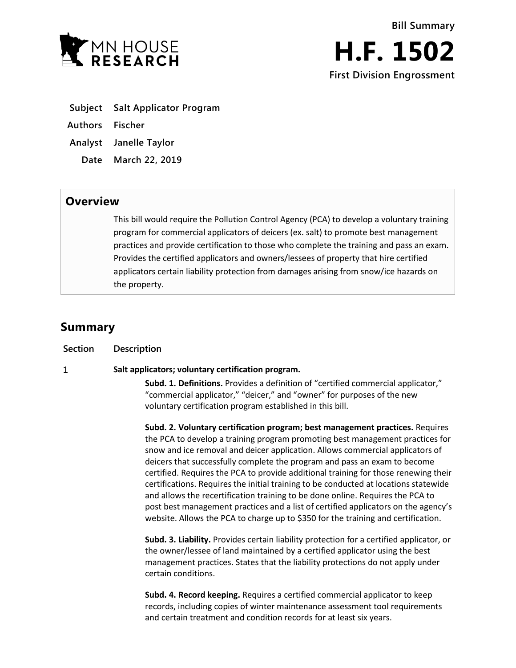

- **Subject Salt Applicator Program**
- **Authors Fischer**
- **Analyst Janelle Taylor**
	- **Date March 22, 2019**

## **Overview**

This bill would require the Pollution Control Agency (PCA) to develop a voluntary training program for commercial applicators of deicers (ex. salt) to promote best management practices and provide certification to those who complete the training and pass an exam. Provides the certified applicators and owners/lessees of property that hire certified applicators certain liability protection from damages arising from snow/ice hazards on the property.

## **Summary**

| <b>Section</b> | <b>Description</b>                                                                                                                                                                                                                                                                                                                                                                                                                                                                                                                                                                                                                                                                                                                                                       |
|----------------|--------------------------------------------------------------------------------------------------------------------------------------------------------------------------------------------------------------------------------------------------------------------------------------------------------------------------------------------------------------------------------------------------------------------------------------------------------------------------------------------------------------------------------------------------------------------------------------------------------------------------------------------------------------------------------------------------------------------------------------------------------------------------|
| 1              | Salt applicators; voluntary certification program.                                                                                                                                                                                                                                                                                                                                                                                                                                                                                                                                                                                                                                                                                                                       |
|                | Subd. 1. Definitions. Provides a definition of "certified commercial applicator,"<br>"commercial applicator," "deicer," and "owner" for purposes of the new<br>voluntary certification program established in this bill.                                                                                                                                                                                                                                                                                                                                                                                                                                                                                                                                                 |
|                | Subd. 2. Voluntary certification program; best management practices. Requires<br>the PCA to develop a training program promoting best management practices for<br>snow and ice removal and deicer application. Allows commercial applicators of<br>deicers that successfully complete the program and pass an exam to become<br>certified. Requires the PCA to provide additional training for those renewing their<br>certifications. Requires the initial training to be conducted at locations statewide<br>and allows the recertification training to be done online. Requires the PCA to<br>post best management practices and a list of certified applicators on the agency's<br>website. Allows the PCA to charge up to \$350 for the training and certification. |
|                | Subd. 3. Liability. Provides certain liability protection for a certified applicator, or<br>the owner/lessee of land maintained by a certified applicator using the best<br>management practices. States that the liability protections do not apply under<br>certain conditions.                                                                                                                                                                                                                                                                                                                                                                                                                                                                                        |
|                | Subd. 4. Record keeping. Requires a certified commercial applicator to keep<br>records, including copies of winter maintenance assessment tool requirements<br>and certain treatment and condition records for at least six years.                                                                                                                                                                                                                                                                                                                                                                                                                                                                                                                                       |